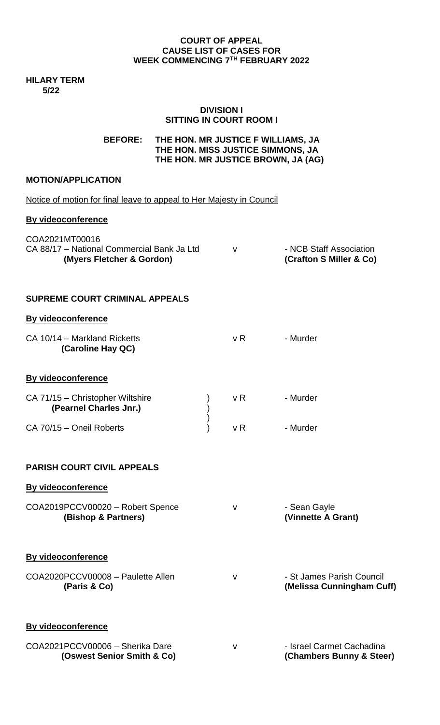#### **COURT OF APPEAL CAUSE LIST OF CASES FOR WEEK COMMENCING 7 TH FEBRUARY 2022**

**HILARY TERM 5/22**

#### **DIVISION I SITTING IN COURT ROOM I**

**BEFORE: THE HON. MR JUSTICE F WILLIAMS, JA THE HON. MISS JUSTICE SIMMONS, JA THE HON. MR JUSTICE BROWN, JA (AG)**

# **MOTION/APPLICATION**

| Notice of motion for final leave to appeal to Her Majesty in Council                      |                |                                                        |
|-------------------------------------------------------------------------------------------|----------------|--------------------------------------------------------|
| <b>By videoconference</b>                                                                 |                |                                                        |
| COA2021MT00016<br>CA 88/17 - National Commercial Bank Ja Ltd<br>(Myers Fletcher & Gordon) | $\mathsf{V}$   | - NCB Staff Association<br>(Crafton S Miller & Co)     |
| <b>SUPREME COURT CRIMINAL APPEALS</b>                                                     |                |                                                        |
| By videoconference                                                                        |                |                                                        |
| CA 10/14 - Markland Ricketts<br>(Caroline Hay QC)                                         | v <sub>R</sub> | - Murder                                               |
| By videoconference                                                                        |                |                                                        |
| CA 71/15 - Christopher Wiltshire<br>(Pearnel Charles Jnr.)                                | v R            | - Murder                                               |
| CA 70/15 - Oneil Roberts                                                                  | v R            | - Murder                                               |
| <b>PARISH COURT CIVIL APPEALS</b>                                                         |                |                                                        |
| By videoconference                                                                        |                |                                                        |
| COA2019PCCV00020 - Robert Spence<br>(Bishop & Partners)                                   | ۷              | - Sean Gayle<br>(Vinnette A Grant)                     |
| <b>By videoconference</b>                                                                 |                |                                                        |
| COA2020PCCV00008 - Paulette Allen<br>(Paris & Co)                                         | $\vee$         | - St James Parish Council<br>(Melissa Cunningham Cuff) |
| <b>By videoconference</b>                                                                 |                |                                                        |
| COA2021PCCV00006 - Sherika Dare<br>(Oswest Senior Smith & Co)                             | v              | - Israel Carmet Cachadina<br>(Chambers Bunny & Steer)  |